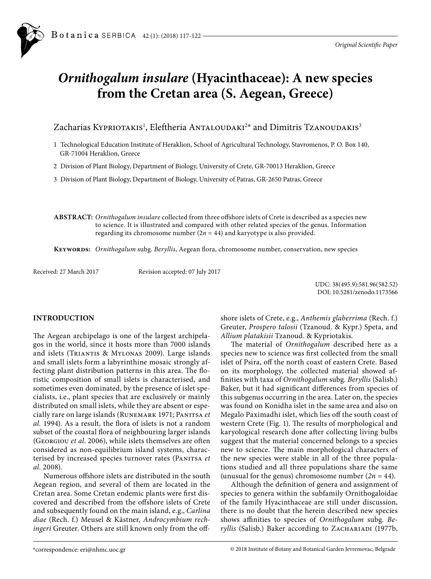

# *Ornithogalum insulare* **(Hyacinthaceae): A new species from the Cretan area (S. Aegean, Greece)**

Zacharias Kypriotakis<sup>1</sup>, Eleftheria Antaloudaki<sup>2</sup>\* and Dimitris Tzanoudakis<sup>3</sup>

- 1 Technological Education Institute of Heraklion, School of Agricultural Technology, Stavromenos, P. O. Box 140, GR-71004 Heraklion, Greece
- 2 Division of Plant Biology, Department of Biology, University of Crete, GR-70013 Heraklion, Greece

3 Division of Plant Biology, Department of Biology, University of Patras, GR-2650 Patras, Greece

**Abstract:** *Ornithogalum insulare* collected from three offshore islets of Crete is described as a species new to science. It is illustrated and compared with other related species of the genus. Information regarding its chromosome number  $(2n = 44)$  and karyotype is also provided.

**Keywords:** *Ornithogalum* subg. *Beryllis*, Aegean flora, chromosome number, conservation, new species

Received: 27 March 2017 Revision accepted: 07 July 2017

UDC: 38(495.9):581.96(582.52) DOI: 10.5281/zenodo.1173566

## **INTRODUCTION**

The Aegean archipelago is one of the largest archipelagos in the world, since it hosts more than 7000 islands and islets (Triantis & Mylonas 2009). Large islands and small islets form a labyrinthine mosaic strongly affecting plant distribution patterns in this area. The floristic composition of small islets is characterised, and sometimes even dominated, by the presence of islet specialists, i.e., plant species that are exclusively or mainly distributed on small islets, while they are absent or especially rare on large islands (Runemark 1971; Panitsa *et al.* 1994). As a result, the flora of islets is not a random subset of the coastal flora of neighbouring larger islands (Georgiou *et al*. 2006), while islets themselves are often considered as non-equilibrium island systems, characterised by increased species turnover rates (PANITSA et *al.* 2008).

Numerous offshore islets are distributed in the south Aegean region, and several of them are located in the Cretan area. Some Cretan endemic plants were first discovered and described from the offshore islets of Crete and subsequently found on the main island, e.g., *Carlina diae* (Rech. f.) Meusel & Kästner*, Androcymbium rechingeri* Greuter. Others are still known only from the offshore islets of Crete, e.g., *Anthemis glaberrima* (Rech. f.) Greuter, *Prospero talosii* (Tzanoud. & Kypr.) Speta, and *Allium platakisii* Tzanoud. & Kypriotakis.

The material of *Ornithogalum* described here as a species new to science was first collected from the small islet of Psira, off the north coast of eastern Crete. Based on its morphology, the collected material showed affinities with taxa of *Ornithogalum* subg. *Beryllis* (Salisb.) Baker, but it had significant differences from species of this subgenus occurring in the area. Later on, the species was found on Konidha islet in the same area and also on Megalo Paximadhi islet, which lies off the south coast of western Crete (Fig. 1). The results of morphological and karyological research done after collecting living bulbs suggest that the material concerned belongs to a species new to science. The main morphological characters of the new species were stable in all of the three populations studied and all three populations share the same (unusual for the genus) chromosome number  $(2n = 44)$ .

Although the definition of genera and assignment of species to genera within the subfamily Ornithogaloidae of the family Hyacinthaceae are still under discussion, there is no doubt that the herein described new species shows affinities to species of *Ornithogalum* subg. *Beryllis* (Salisb.) Baker according to Zachariadi (1977b,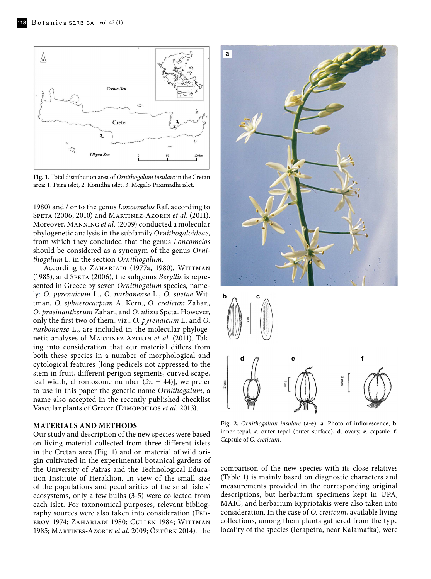

**Fig. 1.** Total distribution area of *Ornithogalum insulare* in the Cretan area: 1. Psira islet, 2. Konidha islet, 3. Megalo Paximadhi islet.

1980) and / or to the genus *Loncomelos* Raf. according to Speta (2006, 2010) and Martinez-Azorin *et al*. (2011). Moreover, Manning *et al*. (2009) conducted a molecular phylogenetic analysis in the subfamily *Ornithogaloideae*, from which they concluded that the genus *Loncomelos* should be considered as a synonym of the genus *Ornithogalum* L. in the section *Ornithogalum*.

According to ZAHARIADI (1977a, 1980), WITTMAN (1985), and Speta (2006), the subgenus *Beryllis* is represented in Greece by seven *Ornithogalum* species, namely: *O. pyrenaicum* L., *O. narbonense* L., *O. spetae* Wittman*, O. sphaerocarpum* A. Kern., *O. creticum* Zahar., *O. prasinantherum* Zahar., and *O. ulixis* Speta. However, only the first two of them, viz., *O. pyrenaicum* L. and *O. narbonense* L., are included in the molecular phylogenetic analyses of Martinez-Azorin *et al*. (2011). Taking into consideration that our material differs from both these species in a number of morphological and cytological features [long pedicels not appressed to the stem in fruit, different perigon segments, curved scape, leaf width, chromosome number  $(2n = 44)$ , we prefer to use in this paper the generic name *Ornithogalum*, a name also accepted in the recently published checklist Vascular plants of Greece (Dimopoulos *et al*. 2013).

### **MATERIALS AND METHODS**

Our study and description of the new species were based on living material collected from three different islets in the Cretan area (Fig. 1) and on material of wild origin cultivated in the experimental botanical gardens of the University of Patras and the Technological Education Institute of Heraklion. In view of the small size of the populations and peculiarities of the small islets' ecosystems, only a few bulbs (3-5) were collected from each islet. For taxonomical purposes, relevant bibliography sources were also taken into consideration (FEDerov 1974; Zahariadi 1980; Cullen 1984; Wittman 1985; Martines-Azorin *et al*. 2009; Öztürk 2014). The





**Fig. 2.** *Ornithogalum insulare* (**a-e**): **a**. Photo of inflorescence, **b**. inner tepal, **c**. outer tepal (outer surface), **d**. ovary, **e**. capsule. **f.** Capsule of *O. creticum*.

comparison of the new species with its close relatives (Table 1) is mainly based on diagnostic characters and measurements provided in the corresponding original descriptions, but herbarium specimens kept in UPA, MAIC, and herbarium Kypriotakis were also taken into consideration. In the case of *O. creticum*, available living collections, among them plants gathered from the type locality of the species (Ierapetra, near Kalamafka), were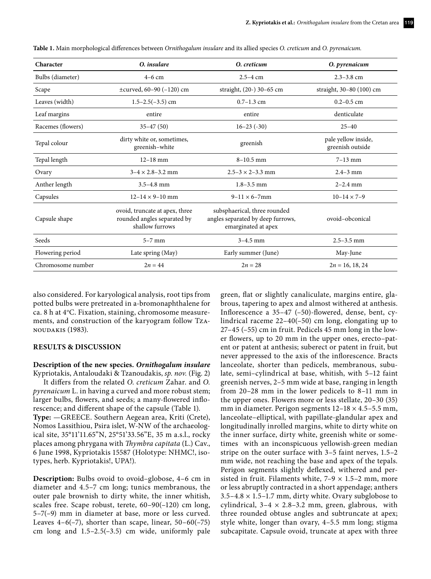| Character         | O. insulare                                                                      | O. creticum                                                                              | O. pyrenaicum                           |
|-------------------|----------------------------------------------------------------------------------|------------------------------------------------------------------------------------------|-----------------------------------------|
| Bulbs (diameter)  | $4-6$ cm                                                                         | $2.5 - 4$ cm                                                                             | $2.3 - 3.8$ cm                          |
| Scape             | $\pm$ curved, 60–90 (–120) cm                                                    | straight, (20-) 30-65 cm                                                                 | straight, 30-80 (100) cm                |
| Leaves (width)    | $1.5 - 2.5(-3.5)$ cm                                                             | $0.7 - 1.3$ cm                                                                           | $0.2 - 0.5$ cm                          |
| Leaf margins      | entire                                                                           | entire                                                                                   | denticulate                             |
| Racemes (flowers) | $35 - 47(50)$                                                                    | $16 - 23$ ( $-30$ )                                                                      | $25 - 40$                               |
| Tepal colour      | dirty white or, sometimes,<br>greenish-white                                     | greenish                                                                                 | pale yellow inside,<br>greenish outside |
| Tepal length      | $12 - 18$ mm                                                                     | $8 - 10.5$ mm                                                                            | $7 - 13$ mm                             |
| Ovary             | $3 - 4 \times 2.8 - 3.2$ mm                                                      | $2.5 - 3 \times 2 - 3.3$ mm                                                              | $2.4 - 3$ mm                            |
| Anther length     | $3.5 - 4.8$ mm                                                                   | $1.8 - 3.5$ mm                                                                           | $2 - 2.4$ mm                            |
| Capsules          | $12 - 14 \times 9 - 10$ mm                                                       | $9 - 11 \times 6 - 7$ mm                                                                 | $10-14 \times 7-9$                      |
| Capsule shape     | ovoid, truncate at apex, three<br>rounded angles separated by<br>shallow furrows | subsphaerical, three rounded<br>angles separated by deep furrows,<br>emarginated at apex | ovoid-obconical                         |
| Seeds             | $5-7$ mm                                                                         | $3 - 4.5$ mm                                                                             | $2.5 - 3.5$ mm                          |
| Flowering period  | Late spring (May)                                                                | Early summer (June)                                                                      | May-June                                |
| Chromosome number | $2n = 44$                                                                        | $2n = 28$                                                                                | $2n = 16, 18, 24$                       |

**Table 1.** Main morphological differences between *Ornithogalum insulare* and its allied species *O. creticum* and *O. pyrenaicum.*

also considered. For karyological analysis, root tips from potted bulbs were pretreated in a-bromonaphthalene for ca. 8 h at 4°C. Fixation, staining, chromosome measurements, and construction of the karyogram follow Tzanoudakis (1983).

#### **RESULTS & DISCUSSION**

### **Description of the new species.** *Ornithogalum insulare*

Kypriotakis, Antaloudaki & Tzanoudakis, *sp. nov.* (Fig. 2) It differs from the related *O*. *creticum* Zahar. and *O. pyrenaicum* L. in having a curved and more robust stem; larger bulbs, flowers, and seeds; a many-flowered inflorescence; and different shape of the capsule (Table 1). **Type:** —GREECE. Southern Aegean area, Kriti (Crete), Nomos Lassithiou, Psira islet, W-NW of the archaeological site, 35°11'11.65"N, 25°51'33.56"E, 35 m a.s.l., rocky places among phrygana with *Thymbra capitata* (L.) Cav., 6 June 1998, Kypriotakis 15587 (Holotype: NHMC!, isotypes, herb. Kypriotakis!, UPA!).

**Description:** Bulbs ovoid to ovoid–globose, 4–6 cm in diameter and 4.5–7 cm long; tunics membranous, the outer pale brownish to dirty white, the inner whitish, scales free. Scape robust, terete, 60–90(–120) cm long, 5–7(–9) mm in diameter at base, more or less curved. Leaves  $4-6(-7)$ , shorter than scape, linear,  $50-60(-75)$ cm long and 1.5–2.5(–3.5) cm wide, uniformly pale

green, flat or slightly canaliculate, margins entire, glabrous, tapering to apex and almost withered at anthesis. Inflorescence a 35–47 (–50)-flowered, dense, bent, cylindrical raceme 22–40(–50) cm long, elongating up to 27–45 (–55) cm in fruit. Pedicels 45 mm long in the lower flowers, up to 20 mm in the upper ones, erecto–patent or patent at anthesis; suberect or patent in fruit, but never appressed to the axis of the inflorescence. Bracts lanceolate, shorter than pedicels, membranous, subulate, semi–cylindrical at base, whitish, with 5–12 faint greenish nerves, 2–5 mm wide at base, ranging in length from 20–28 mm in the lower pedicels to 8–11 mm in the upper ones. Flowers more or less stellate, 20–30 (35) mm in diameter. Perigon segments  $12-18 \times 4.5-5.5$  mm, lanceolate–elliptical, with papillate-glandular apex and longitudinally inrolled margins, white to dirty white on the inner surface, dirty white, greenish white or sometimes with an inconspicuous yellowish-green median stripe on the outer surface with 3–5 faint nerves, 1.5–2 mm wide, not reaching the base and apex of the tepals. Perigon segments slightly deflexed, withered and persisted in fruit. Filaments white,  $7-9 \times 1.5-2$  mm, more or less abruptly contracted in a short appendage; anthers  $3.5-4.8 \times 1.5-1.7$  mm, dirty white. Ovary subglobose to cylindrical,  $3-4 \times 2.8-3.2$  mm, green, glabrous, with three rounded obtuse angles and subtruncate at apex; style white, longer than ovary, 4–5.5 mm long; stigma subcapitate. Capsule ovoid, truncate at apex with three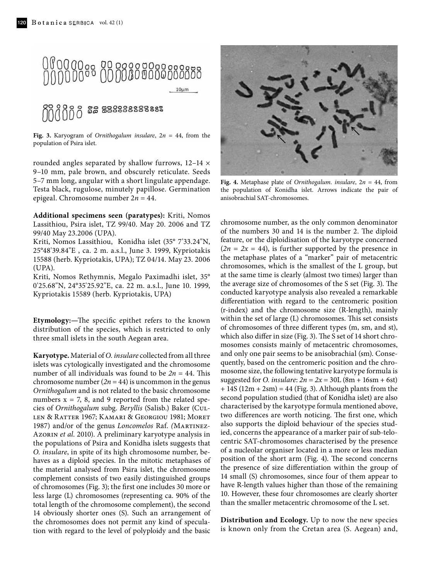

**Fig. 3.** Karyogram of *Ornithogalum insulare*, 2*n* = 44, from the population of Psira islet.

rounded angles separated by shallow furrows,  $12-14 \times$ 9–10 mm, pale brown, and obscurely reticulate. Seeds 5–7 mm long, angular with a short lingulate appendage. Testa black, rugulose, minutely papillose. Germination epigeal. Chromosome number 2*n* = 44.

**Additional specimens seen (paratypes):** Kriti, Nomos Lassithiou, Psira islet, TZ 99/40. May 20. 2006 and TZ 99/40 May 23.2006 (UPA).

Kriti, Nomos Lassithiou, Konidha islet (35° 7'33.24"N, 25°48'39.84"E , ca. 2 m. a.s.l., June 3. 1999, Kypriotakis 15588 (herb. Kypriotakis, UPA); TZ 04/14. May 23. 2006 (UPA).

Kriti, Nomos Rethymnis, Megalo Paximadhi islet, 35° 0'25.68"N, 24°35'25.92"E, ca. 22 m. a.s.l., June 10. 1999, Kypriotakis 15589 (herb. Kypriotakis, UPA)

**Etymology:—**The specific epithet refers to the known distribution of the species, which is restricted to only three small islets in the south Aegean area.

**Karyotype.** Material of *O. insulare* collected from all three islets was cytologically investigated and the chromosome number of all individuals was found to be  $2n = 44$ . This chromosome number  $(2n = 44)$  is uncommon in the genus *Ornithogalum* and is not related to the basic chromosome numbers  $x = 7$ , 8, and 9 reported from the related species of *Ornithogalum* subg. *Beryllis* (Salisb.) Baker (Cullen & Ratter 1967; Kamari & Georgiou 1981; Moret 1987) and/or of the genus *Loncomelos* Raf. *(*Martinez-Azorin *et al*. 2010). A preliminary karyotype analysis in the populations of Psira and Konidha islets suggests that *O. insulare*, in spite of its high chromosome number, behaves as a diploid species. In the mitotic metaphases of the material analysed from Psira islet, the chromosome complement consists of two easily distinguished groups of chromosomes (Fig. 3); the first one includes 30 more or less large (L) chromosomes (representing ca. 90% of the total length of the chromosome complement), the second 14 obviously shorter ones (S). Such an arrangement of the chromosomes does not permit any kind of speculation with regard to the level of polyploidy and the basic



**Fig. 4.** Metaphase plate of *Ornithogalum. insulare*, 2*n* = 44, from the population of Konidha islet. Arrows indicate the pair of anisobrachial SAT-chromosomes.

chromosome number, as the only common denominator of the numbers 30 and 14 is the number 2. The diploid feature, or the diploidisation of the karyotype concerned  $(2n = 2x = 44)$ , is further supported by the presence in the metaphase plates of a "marker" pair of metacentric chromosomes, which is the smallest of the L group, but at the same time is clearly (almost two times) larger than the average size of chromosomes of the S set (Fig. 3). The conducted karyotype analysis also revealed a remarkable differentiation with regard to the centromeric position (r-index) and the chromosome size (R-length), mainly within the set of large (L) chromosomes. This set consists of chromosomes of three different types (m, sm, and st), which also differ in size (Fig. 3). The S set of 14 short chromosomes consists mainly of metacentric chromosomes, and only one pair seems to be anisobrachial (sm). Consequently, based on the centromeric position and the chromosome size, the following tentative karyotype formula is suggested for *O. insulare*:  $2n = 2x = 30L (8m + 16sm + 6st)$  $+ 14S (12m + 2sm) = 44$  (Fig. 3). Although plants from the second population studied (that of Konidha islet) are also characterised by the karyotype formula mentioned above, two differences are worth noticing. The first one, which also supports the diploid behaviour of the species studied, concerns the appearance of a marker pair of sub-telocentric SAT-chromosomes characterised by the presence of a nucleolar organiser located in a more or less median position of the short arm (Fig. 4). The second concerns the presence of size differentiation within the group of 14 small (S) chromosomes, since four of them appear to have R-length values higher than those of the remaining 10. However, these four chromosomes are clearly shorter than the smaller metacentric chromosome of the L set.

**Distribution and Ecology.** Up to now the new species is known only from the Cretan area (S. Aegean) and,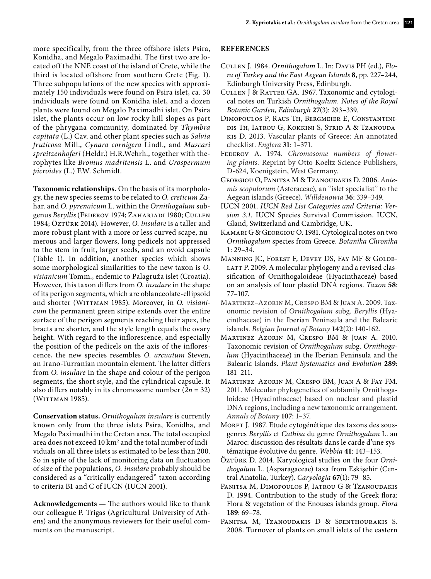more specifically, from the three offshore islets Psira, Konidha, and Megalo Paximadhi. The first two are located off the NNE coast of the island of Crete, while the third is located offshore from southern Crete (Fig. 1). Three subpopulations of the new species with approximately 150 individuals were found on Psira islet, ca. 30 individuals were found on Konidha islet, and a dozen plants were found on Megalo Paximadhi islet. On Psira islet, the plants occur on low rocky hill slopes as part of the phrygana community, dominated by *Thymbra capitata* (L.) Cav. and other plant species such as *Salvia fruticosa* Mill., *Cynara cornigera* Lindl., and *Muscari spreitzenhoferi* (Heldr.) H.R.Wehrh., together with therophytes like *Bromus madritensis* L. and *Urospermum picroides* (L.) F.W. Schmidt.

**Taxonomic relationships.** On the basis of its morphology, the new species seems to be related to *O. creticum* Zahar. and *O. pyrenaicum* L. within the *Ornithogalum* subgenus *Beryllis* (Federov 1974; Zahariadi 1980; Cullen 1984; Öztürk 2014)*.* However, *O. insulare* is a taller and more robust plant with a more or less curved scape, numerous and larger flowers, long pedicels not appressed to the stem in fruit, larger seeds, and an ovoid capsule (Table 1). In addition, another species which shows some morphological similarities to the new taxon is *O. visianicum* Tomm., endemic to Palagruža islet (Croatia). However, this taxon differs from *O. insulare* in the shape of its perigon segments, which are oblanceolate-ellipsoid and shorter (WITTMAN 1985). Moreover, in *O. visianicum* the permanent green stripe extends over the entire surface of the perigon segments reaching their apex, the bracts are shorter, and the style length equals the ovary height. With regard to the inflorescence, and especially the position of the pedicels on the axis of the inflorescence, the new species resembles *O. arcuatum* Steven, an Irano-Turranian mountain element. The latter differs from *O. insulare* in the shape and colour of the perigon segments, the short style, and the cylindrical capsule. It also differs notably in its chromosome number (*2n* = 32) (WITTMAN 1985).

**Conservation status.** *Ornithogalum insulare* is currently known only from the three islets Psira, Konidha, and Megalo Paximadhi in the Cretan area. The total occupied area does not exceed 10 km<sup>2</sup> and the total number of individuals on all three islets is estimated to be less than 200. So in spite of the lack of monitoring data on fluctuation of size of the populations, *O. insulare* probably should be considered as a "critically endangered" taxon according to criteria B1 and C of IUCN (IUCN 2001).

**Acknowledgements —** The authors would like to thank our colleague P. Trigas (Agricultural University of Athens) and the anonymous reviewers for their useful comments on the manuscript.

## **REFERENCES**

- Cullen J. 1984. *Ornithogalum* L. In: Davis PH (ed.), *Flora of Turkey and the East Aegean Islands* **8**, pp. 227–244, Edinburgh University Press, Edinburgh.
- Cullen J & Ratter GA. 1967. Taxonomic and cytological notes on Turkish *Ornithogalum. Notes of the Royal Botanic Garden, Edinburgh* **27**(3): 293–339.
- Dimopoulos P, Raus Th, Bergmeier E, Constantinidis Th, Iatrou G, Kokkini S, Strid A & Tzanoudakis D. 2013. Vascular plants of Greece: An annotated checklist. *Englera* **31**: 1–371.
- Federov A. 1974. *Chromosome numbers of flowering plants.* Reprint by Otto Koeltz Science Publishers, D-624, Koenigstein, West Germany.
- Georgiou O, Panitsa M & Tzanoudakis D. 2006. *Antemis scopulorum* (Asteraceae), an "islet specialist" to the Aegean islands (Greece). *Willdenowia* **36**: 339–349.
- IUCN 2001. *IUCN Red List Categories and Criteria: Version 3.1.* IUCN Species Survival Commission. IUCN, Gland, Switzerland and Cambridge, UK.
- Kamari G & Georgiou O. 1981. Cytological notes on two *Ornithogalum* species from Greece. *Botanika Chronika* **1**: 29–34.
- MANNING JC, FOREST F, DEVEY DS, FAY MF & GOLDB-LATT P. 2009. A molecular phylogeny and a revised classification of Ornithogaloideae (Hyacinthaceae) based on an analysis of four plastid DNA regions. *Taxon* **58**: 77–107.
- Martinez–Azorin M, Crespo BM & Juan A. 2009. Taxonomic revision of *Ornithogalum* subg*. Beryllis* (Hyacinthaceae) in the Iberian Peninsula and the Balearic islands. *Belgian Journal of Botany* **142**(2): 140-162.
- Martinez–Azorin M, Crespo BM & Juan A. 2010. Taxonomic revision of *Ornithogalum* subg. *Ornithogalum* (Hyacinthaceae) in the Iberian Peninsula and the Balearic Islands. *Plant Systematics and Evolution* **289**: 181–211.
- Martinez–Azorin M, Crespo BM, Juan A & Fay FM. 2011. Molecular phylogenetics of subfamily Ornithogaloideae (Hyacinthaceae) based on nuclear and plastid DNA regions, including a new taxonomic arrangement. *Annals of Botany* **107**: 1–37.
- MORET J. 1987. Etude cytogénétique des taxons des sousgenres *Beryllis* et *Cathisa* du genre *Ornithogalum* L. au Maroc: discussion des résultats dans le carde d'une systématique évolutive du genre. *Webbia* **41**: 143–153.
- ÖZTÜRK D. 2014. Karyological studies on the four *Ornithogalum* L. (Asparagaceae) taxa from Eskişehir (Central Anatolia, Turkey). *Caryologia* **67**(1): 79–85.
- Panitsa M, Dimopoulos P, Iatrou G & Tzanoudakis D. 1994. Contribution to the study of the Greek flora: Flora & vegetation of the Enouses islands group. *Flora* **189**: 69–78.
- PANITSA M, TZANOUDAKIS D & SFENTHOURAKIS S. 2008. Turnover of plants on small islets of the eastern